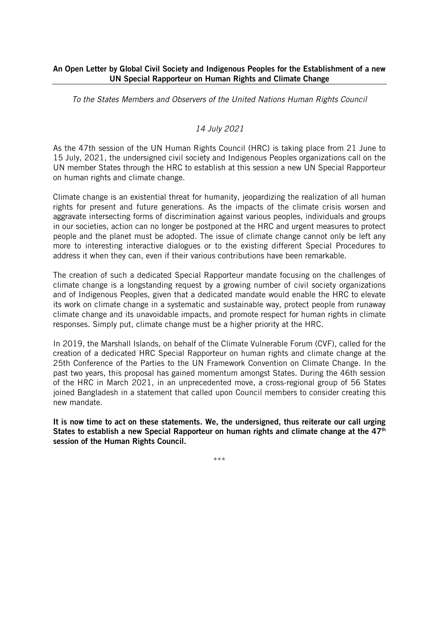## An Open Letter by Global Civil Society and Indigenous Peoples for the Establishment of a new UN Special Rapporteur on Human Rights and Climate Change

*To the States Members and Observers of the United Nations Human Rights Council*

# *14 July 2021*

As the 47th session of the UN Human Rights Council (HRC) is taking place from 21 June to 15 July, 2021, the undersigned civil society and Indigenous Peoples organizations call on the UN member States through the HRC to establish at this session a new UN Special Rapporteur on human rights and climate change.

Climate change is an existential threat for humanity, jeopardizing the realization of all human rights for present and future generations. As the impacts of the climate crisis worsen and aggravate intersecting forms of discrimination against various peoples, individuals and groups in our societies, action can no longer be postponed at the HRC and urgent measures to protect people and the planet must be adopted. The issue of climate change cannot only be left any more to interesting interactive dialogues or to the existing different Special Procedures to address it when they can, even if their various contributions have been remarkable.

The creation of such a dedicated Special Rapporteur mandate focusing on the challenges of climate change is a longstanding request by a growing number of civil society organizations and of Indigenous Peoples, given that a dedicated mandate would enable the HRC to elevate its work on climate change in a systematic and sustainable way, protect people from runaway climate change and its unavoidable impacts, and promote respect for human rights in climate responses. Simply put, climate change must be a higher priority at the HRC.

In 2019, the Marshall Islands, on behalf of the Climate Vulnerable Forum (CVF), called for the creation of a dedicated HRC Special Rapporteur on human rights and climate change at the 25th Conference of the Parties to the UN Framework Convention on Climate Change. In the past two years, this proposal has gained momentum amongst States. During the 46th session of the HRC in March 2021, in an unprecedented move, a cross-regional group of 56 States joined Bangladesh in a statement that called upon Council members to consider creating this new mandate.

It is now time to act on these statements. We, the undersigned, thus reiterate our call urging States to establish a new Special Rapporteur on human rights and climate change at the  $47<sup>th</sup>$ session of the Human Rights Council.

\*\*\*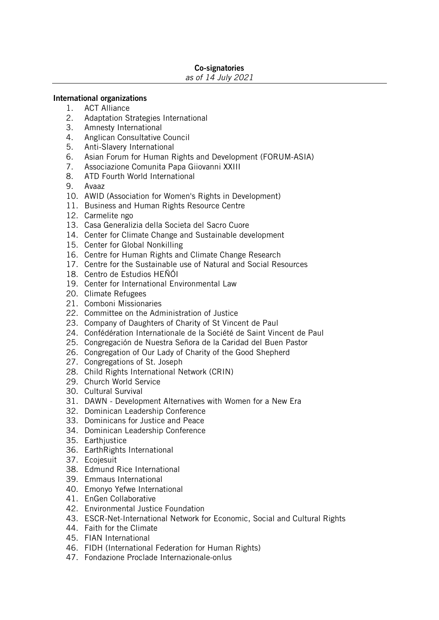### Co-signatories

#### *as of 14 July 2021*

### International organizations

- 1. ACT Alliance
- 2. Adaptation Strategies International<br>3. Amnesty International
- Amnesty International
- 4. Anglican Consultative Council
- 5. Anti-Slavery International
- 6. Asian Forum for Human Rights and Development (FORUM-ASIA)
- 7. Associazione Comunita Papa Giiovanni XXIII
- 8. ATD Fourth World International
- 9. Avaaz
- 10. AWID (Association for Women's Rights in Development)
- 11. Business and Human Rights Resource Centre
- 12. Carmelite ngo
- 13. Casa Generalizia della Societa del Sacro Cuore
- 14. Center for Climate Change and Sustainable development
- 15. Center for Global Nonkilling
- 16. Centre for Human Rights and Climate Change Research
- 17. Centre for the Sustainable use of Natural and Social Resources
- 18. Centro de Estudios HEÑÓI
- 19. Center for International Environmental Law
- 20. Climate Refugees
- 21. Comboni Missionaries
- 22. Committee on the Administration of Justice
- 23. Company of Daughters of Charity of St Vincent de Paul
- 24. Confédération Internationale de la Société de Saint Vincent de Paul
- 25. Congregación de Nuestra Señora de la Caridad del Buen Pastor
- 26. Congregation of Our Lady of Charity of the Good Shepherd
- 27. Congregations of St. Joseph
- 28. Child Rights International Network (CRIN)
- 29. Church World Service
- 30. Cultural Survival
- 31. DAWN Development Alternatives with Women for a New Era
- 32. Dominican Leadership Conference
- 33. Dominicans for Justice and Peace
- 34. Dominican Leadership Conference
- 35. Earthiustice
- 36. EarthRights International
- 37. Ecojesuit
- 38. Edmund Rice International
- 39. Emmaus International
- 40. Emonyo Yefwe International
- 41. EnGen Collaborative
- 42. Environmental Justice Foundation
- 43. ESCR-Net-International Network for Economic, Social and Cultural Rights
- 44. Faith for the Climate
- 45. FIAN International
- 46. FIDH (International Federation for Human Rights)
- 47. Fondazione Proclade Internazionale-onlus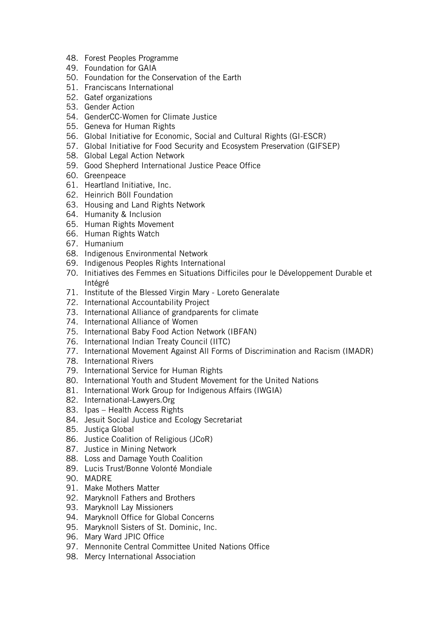- 48. Forest Peoples Programme
- 49. Foundation for GAIA
- 50. Foundation for the Conservation of the Earth
- 51. Franciscans International
- 52. Gatef organizations
- 53. Gender Action
- 54. GenderCC-Women for Climate Justice
- 55. Geneva for Human Rights
- 56. Global Initiative for Economic, Social and Cultural Rights (GI-ESCR)
- 57. Global Initiative for Food Security and Ecosystem Preservation (GIFSEP)
- 58. Global Legal Action Network
- 59. Good Shepherd International Justice Peace Office
- 60. Greenpeace
- 61. Heartland Initiative, Inc.
- 62. Heinrich Böll Foundation
- 63. Housing and Land Rights Network
- 64. Humanity & Inclusion
- 65. Human Rights Movement
- 66. Human Rights Watch
- 67. Humanium
- 68. Indigenous Environmental Network
- 69. Indigenous Peoples Rights International
- 70. Initiatives des Femmes en Situations Difficiles pour le Développement Durable et Intégré
- 71. Institute of the Blessed Virgin Mary Loreto Generalate
- 72. International Accountability Project
- 73. International Alliance of grandparents for climate
- 74. International Alliance of Women
- 75. International Baby Food Action Network (IBFAN)
- 76. International Indian Treaty Council (IITC)
- 77. International Movement Against All Forms of Discrimination and Racism (IMADR)
- 78. International Rivers
- 79. International Service for Human Rights
- 80. International Youth and Student Movement for the United Nations
- 81. International Work Group for Indigenous Affairs (IWGIA)
- 82. International-Lawyers.Org
- 83. Ipas Health Access Rights
- 84. Jesuit Social Justice and Ecology Secretariat
- 85. Justiça Global
- 86. Justice Coalition of Religious (JCoR)
- 87. Justice in Mining Network
- 88. Loss and Damage Youth Coalition
- 89. Lucis Trust/Bonne Volonté Mondiale
- 90. MADRE
- 91. Make Mothers Matter
- 92. Maryknoll Fathers and Brothers
- 93. Maryknoll Lay Missioners
- 94. Maryknoll Office for Global Concerns
- 95. Maryknoll Sisters of St. Dominic, Inc.
- 96. Mary Ward JPIC Office
- 97. Mennonite Central Committee United Nations Office
- 98. Mercy International Association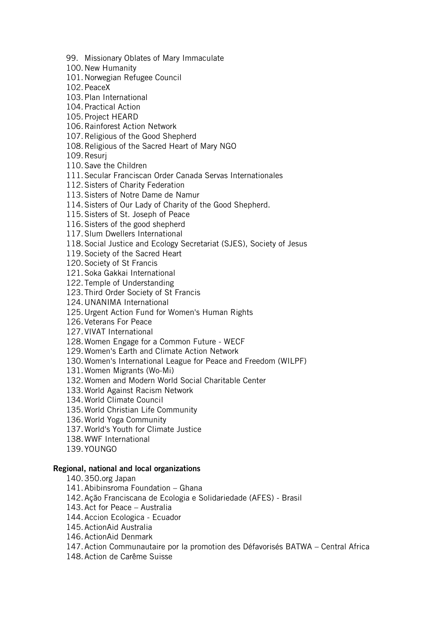99. Missionary Oblates of Mary Immaculate

- 100.New Humanity
- 101.Norwegian Refugee Council

102.PeaceX

- 103.Plan International
- 104.Practical Action
- 105.Project HEARD
- 106.Rainforest Action Network
- 107.Religious of the Good Shepherd
- 108.Religious of the Sacred Heart of Mary NGO
- 109.Resurj
- 110.Save the Children
- 111.Secular Franciscan Order Canada Servas Internationales
- 112.Sisters of Charity Federation
- 113.Sisters of Notre Dame de Namur
- 114.Sisters of Our Lady of Charity of the Good Shepherd.
- 115.Sisters of St. Joseph of Peace
- 116.Sisters of the good shepherd
- 117.Slum Dwellers International
- 118.Social Justice and Ecology Secretariat (SJES), Society of Jesus
- 119.Society of the Sacred Heart
- 120.Society of St Francis
- 121.Soka Gakkai International
- 122.Temple of Understanding
- 123.Third Order Society of St Francis
- 124.UNANIMA International
- 125.Urgent Action Fund for Women's Human Rights
- 126.Veterans For Peace
- 127.VIVAT International
- 128.Women Engage for a Common Future WECF
- 129.Women's Earth and Climate Action Network
- 130.Women's International League for Peace and Freedom (WILPF)
- 131.Women Migrants (Wo-Mi)
- 132.Women and Modern World Social Charitable Center
- 133.World Against Racism Network
- 134.World Climate Council
- 135.World Christian Life Community
- 136.World Yoga Community
- 137.World's Youth for Climate Justice
- 138.WWF International
- 139.YOUNGO

#### Regional, national and local organizations

- 140.350.org Japan
- 141.Abibinsroma Foundation Ghana
- 142.Ação Franciscana de Ecologia e Solidariedade (AFES) Brasil
- 143.Act for Peace Australia
- 144.Accion Ecologica Ecuador
- 145.ActionAid Australia
- 146.ActionAid Denmark
- 147.Action Communautaire por la promotion des Défavorisés BATWA Central Africa
- 148.Action de Carême Suisse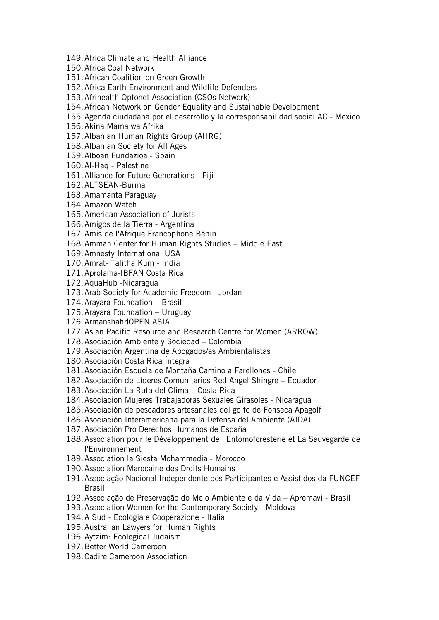149.Africa Climate and Health Alliance

150.Africa Coal Network

151.African Coalition on Green Growth

152.Africa Earth Environment and Wildlife Defenders

153.Afrihealth Optonet Association (CSOs Network)

154.African Network on Gender Equality and Sustainable Development

155.Agenda ciudadana por el desarrollo y la corresponsabilidad social AC - Mexico

156.Akina Mama wa Afrika

157.Albanian Human Rights Group (AHRG)

158.Albanian Society for All Ages

159.Alboan Fundazioa - Spain

160.Al-Haq - Palestine

161.Alliance for Future Generations - Fiji

162.ALTSEAN-Burma

163.Amamanta Paraguay

164.Amazon Watch

165.American Association of Jurists

166.Amigos de la Tierra - Argentina

167.Amis de l'Afrique Francophone Bénin

168.Amman Center for Human Rights Studies – Middle East

169.Amnesty International USA

170.Amrat- Talitha Kum - India

171.Aprolama-IBFAN Costa Rica

172.AquaHub -Nicaragua

173.Arab Society for Academic Freedom - Jordan

174.Arayara Foundation – Brasil

175.Arayara Foundation – Uruguay

176.Armanshahr|OPEN ASIA

177.Asian Pacific Resource and Research Centre for Women (ARROW)

178.Asociación Ambiente y Sociedad – Colombia

179.Asociación Argentina de Abogados/as Ambientalistas

180.Asociación Costa Rica Íntegra

181.Asociación Escuela de Montaña Camino a Farellones - Chile

182.Asociación de Líderes Comunitarios Red Angel Shingre – Ecuador

183.Asociación La Ruta del Clima – Costa Rica

184.Asociacion Mujeres Trabajadoras Sexuales Girasoles - Nicaragua

185.Asociación de pescadores artesanales del golfo de Fonseca Apagolf

186.Asociación Interamericana para la Defensa del Ambiente (AIDA)

187.Asociación Pro Derechos Humanos de España

188.Association pour le Développement de l'Entomoforesterie et La Sauvegarde de l'Environnement

189.Association la Siesta Mohammedia - Morocco

190.Association Marocaine des Droits Humains

191.Associação Nacional Independente dos Participantes e Assistidos da FUNCEF - Brasil

192.Associação de Preservação do Meio Ambiente e da Vida – Apremavi - Brasil

193.Association Women for the Contemporary Society - Moldova

194.A Sud - Ecologia e Cooperazione - Italia

195.Australian Lawyers for Human Rights

196.Aytzim: Ecological Judaism

197.Better World Cameroon

198.Cadire Cameroon Association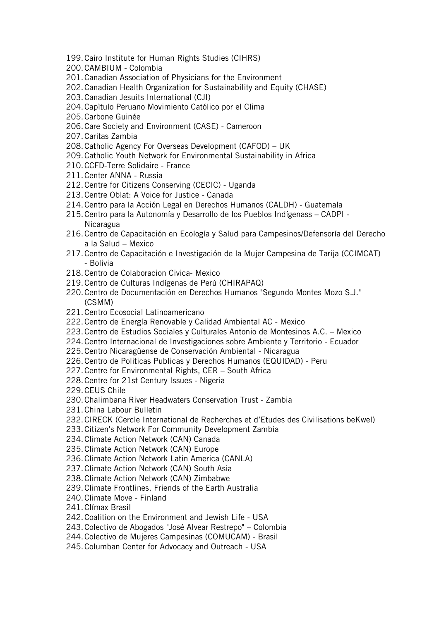- 199.Cairo Institute for Human Rights Studies (CIHRS)
- 200.CAMBIUM Colombia
- 201.Canadian Association of Physicians for the Environment
- 202.Canadian Health Organization for Sustainability and Equity (CHASE)
- 203.Canadian Jesuits International (CJI)
- 204.Capìtulo Peruano Movimiento Católico por el Clima
- 205.Carbone Guinée
- 206.Care Society and Environment (CASE) Cameroon
- 207.Caritas Zambia
- 208.Catholic Agency For Overseas Development (CAFOD) UK
- 209.Catholic Youth Network for Environmental Sustainability in Africa
- 210.CCFD-Terre Solidaire France
- 211.Center ANNA Russia
- 212.Centre for Citizens Conserving (CECIC) Uganda
- 213.Centre Oblat: A Voice for Justice Canada
- 214.Centro para la Acción Legal en Derechos Humanos (CALDH) Guatemala
- 215.Centro para la Autonomía y Desarrollo de los Pueblos Indígenass CADPI Nicaragua
- 216.Centro de Capacitación en Ecología y Salud para Campesinos/Defensoría del Derecho a la Salud – Mexico
- 217.Centro de Capacitación e Investigación de la Mujer Campesina de Tarija (CCIMCAT) - Bolivia
- 218.Centro de Colaboracion Civica- Mexico
- 219.Centro de Culturas Indígenas de Perú (CHIRAPAQ)
- 220.Centro de Documentación en Derechos Humanos "Segundo Montes Mozo S.J." (CSMM)
- 221.Centro Ecosocial Latinoamericano
- 222.Centro de Energía Renovable y Calidad Ambiental AC Mexico
- 223.Centro de Estudios Sociales y Culturales Antonio de Montesinos A.C. Mexico
- 224.Centro Internacional de Investigaciones sobre Ambiente y Territorio Ecuador
- 225.Centro Nicaragüense de Conservación Ambiental Nicaragua
- 226.Centro de Politicas Publicas y Derechos Humanos (EQUIDAD) Peru
- 227.Centre for Environmental Rights, CER South Africa
- 228.Centre for 21st Century Issues Nigeria
- 229.CEUS Chile
- 230.Chalimbana River Headwaters Conservation Trust Zambia
- 231.China Labour Bulletin
- 232.CIRECK (Cercle International de Recherches et d'Etudes des Civilisations beKwel)
- 233.Citizen's Network For Community Development Zambia
- 234.Climate Action Network (CAN) Canada
- 235.Climate Action Network (CAN) Europe
- 236.Climate Action Network Latin America (CANLA)
- 237.Climate Action Network (CAN) South Asia
- 238.Climate Action Network (CAN) Zimbabwe
- 239.Climate Frontlines, Friends of the Earth Australia
- 240.Climate Move Finland
- 241.Clímax Brasil
- 242.Coalition on the Environment and Jewish Life USA
- 243.Colectivo de Abogados "José Alvear Restrepo" Colombia
- 244.Colectivo de Mujeres Campesinas (COMUCAM) Brasil
- 245.Columban Center for Advocacy and Outreach USA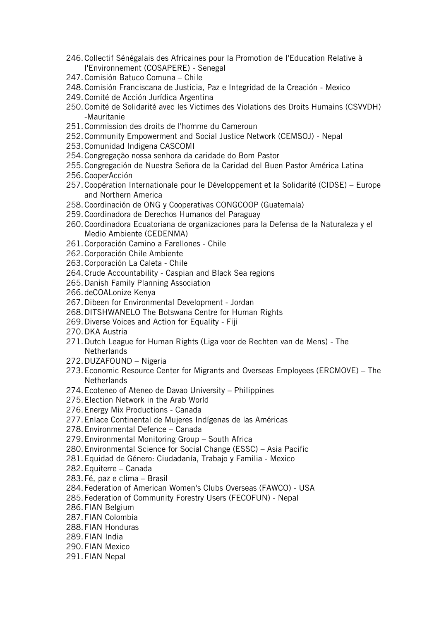- 246.Collectif Sénégalais des Africaines pour la Promotion de l'Education Relative à l'Environnement (COSAPERE) - Senegal
- 247.Comisión Batuco Comuna Chile
- 248.Comisión Franciscana de Justicia, Paz e Integridad de la Creación Mexico
- 249.Comité de Acción Jurídica Argentina
- 250.Comité de Solidarité avec les Victimes des Violations des Droits Humains (CSVVDH) -Mauritanie
- 251.Commission des droits de l'homme du Cameroun
- 252.Community Empowerment and Social Justice Network (CEMSOJ) Nepal
- 253.Comunidad Indigena CASCOMI
- 254.Congregação nossa senhora da caridade do Bom Pastor
- 255.Congregación de Nuestra Señora de la Caridad del Buen Pastor América Latina
- 256.CooperAcción
- 257.Coopération Internationale pour le Développement et la Solidarité (CIDSE) Europe and Northern America
- 258.Coordinación de ONG y Cooperativas CONGCOOP (Guatemala)
- 259.Coordinadora de Derechos Humanos del Paraguay
- 260.Coordinadora Ecuatoriana de organizaciones para la Defensa de la Naturaleza y el Medio Ambiente (CEDENMA)
- 261.Corporación Camino a Farellones Chile
- 262.Corporación Chile Ambiente
- 263.Corporación La Caleta Chile
- 264.Crude Accountability Caspian and Black Sea regions
- 265.Danish Family Planning Association
- 266.deCOALonize Kenya
- 267.Dibeen for Environmental Development Jordan
- 268.DITSHWANELO The Botswana Centre for Human Rights
- 269.Diverse Voices and Action for Equality Fiji
- 270.DKA Austria
- 271.Dutch League for Human Rights (Liga voor de Rechten van de Mens) The **Netherlands**
- 272.DUZAFOUND Nigeria
- 273.Economic Resource Center for Migrants and Overseas Employees (ERCMOVE) The **Netherlands**
- 274.Ecoteneo of Ateneo de Davao University Philippines
- 275.Election Network in the Arab World
- 276.Energy Mix Productions Canada
- 277.Enlace Continental de Mujeres Indígenas de las Américas
- 278.Environmental Defence Canada
- 279.Environmental Monitoring Group South Africa
- 280.Environmental Science for Social Change (ESSC) Asia Pacific
- 281.Equidad de Género: Ciudadanía, Trabajo y Familia Mexico
- 282.Equiterre Canada
- 283.Fé, paz e clima Brasil
- 284.Federation of American Women's Clubs Overseas (FAWCO) USA
- 285.Federation of Community Forestry Users (FECOFUN) Nepal
- 286.FIAN Belgium
- 287.FIAN Colombia
- 288.FIAN Honduras
- 289.FIAN India
- 290.FIAN Mexico
- 291.FIAN Nepal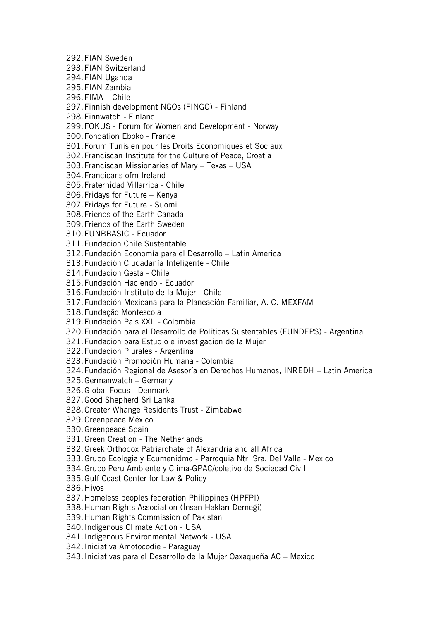292.FIAN Sweden 293.FIAN Switzerland 294.FIAN Uganda 295.FIAN Zambia 296.FIMA – Chile 297.Finnish development NGOs (FINGO) - Finland 298.Finnwatch - Finland 299.FOKUS - Forum for Women and Development - Norway 300.Fondation Eboko - France 301.Forum Tunisien pour les Droits Economiques et Sociaux 302.Franciscan Institute for the Culture of Peace, Croatia 303.Franciscan Missionaries of Mary – Texas – USA 304.Francicans ofm Ireland 305.Fraternidad Villarrica - Chile 306.Fridays for Future – Kenya 307.Fridays for Future - Suomi 308.Friends of the Earth Canada 309.Friends of the Earth Sweden 310.FUNBBASIC - Ecuador 311.Fundacion Chile Sustentable 312.Fundación Economía para el Desarrollo – Latin America 313.Fundación Ciudadanía Inteligente - Chile 314.Fundacion Gesta - Chile 315.Fundación Haciendo - Ecuador 316.Fundación Instituto de la Mujer - Chile 317.Fundación Mexicana para la Planeación Familiar, A. C. MEXFAM 318.Fundação Montescola 319.Fundación Pais XXI - Colombia 320.Fundación para el Desarrollo de Políticas Sustentables (FUNDEPS) - Argentina 321.Fundacion para Estudio e investigacion de la Mujer 322.Fundacion Plurales - Argentina 323.Fundación Promoción Humana - Colombia 324.Fundación Regional de Asesoría en Derechos Humanos, INREDH – Latin America 325.Germanwatch – Germany 326.Global Focus - Denmark 327.Good Shepherd Sri Lanka 328.Greater Whange Residents Trust - Zimbabwe 329.Greenpeace México 330.Greenpeace Spain 331.Green Creation - The Netherlands 332.Greek Orthodox Patriarchate of Alexandria and all Africa 333.Grupo Ecologia y Ecumenidmo - Parroquia Ntr. Sra. Del Valle - Mexico 334.Grupo Peru Ambiente y Clima-GPAC/coletivo de Sociedad Civil 335.Gulf Coast Center for Law & Policy 336.Hivos 337.Homeless peoples federation Philippines (HPFPI) 338.Human Rights Association (İnsan Hakları Derneği) 339.Human Rights Commission of Pakistan 340.Indigenous Climate Action - USA 341.Indigenous Environmental Network - USA 342.Iniciativa Amotocodie - Paraguay 343.Iniciativas para el Desarrollo de la Mujer Oaxaqueña AC – Mexico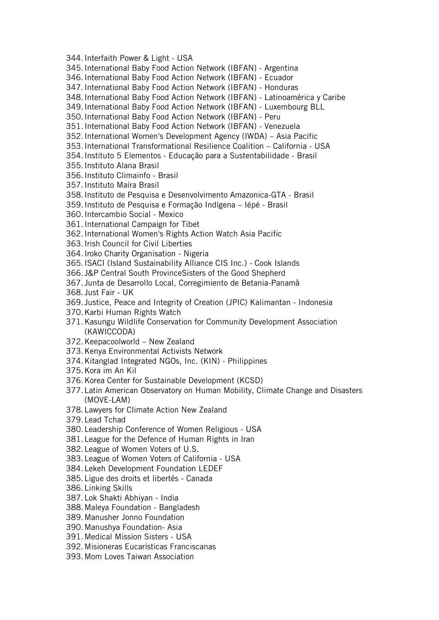344.Interfaith Power & Light - USA 345.International Baby Food Action Network (IBFAN) - Argentina 346.International Baby Food Action Network (IBFAN) - Ecuador 347.International Baby Food Action Network (IBFAN) - Honduras 348.International Baby Food Action Network (IBFAN) - Latinoamérica y Caribe 349.International Baby Food Action Network (IBFAN) - Luxembourg BLL 350.International Baby Food Action Network (IBFAN) - Peru 351.International Baby Food Action Network (IBFAN) - Venezuela 352.International Women's Development Agency (IWDA) – Asia Pacific 353.International Transformational Resilience Coalition – California - USA 354.Instituto 5 Elementos - Educação para a Sustentabilidade - Brasil 355.Instituto Alana Brasil 356.Instituto Climainfo - Brasil 357.Instituto Maíra Brasil 358.Instituto de Pesquisa e Desenvolvimento Amazonica-GTA - Brasil 359.Instituto de Pesquisa e Formação Indígena – Iépé - Brasil 360.Intercambio Social - Mexico 361.International Campaign for Tibet 362.International Women's Rights Action Watch Asia Pacific 363.Irish Council for Civil Liberties 364.Iroko Charity Organisation - Nigeria 365.ISACI (Island Sustainability Alliance CIS Inc.) - Cook Islands 366. J&P Central South ProvinceSisters of the Good Shepherd 367. Junta de Desarrollo Local, Corregimiento de Betania-Panamå 368. Just Fair - UK 369. Justice, Peace and Integrity of Creation (JPIC) Kalimantan - Indonesia 370.Karbi Human Rights Watch 371.Kasungu Wildlife Conservation for Community Development Association (KAWICCODA) 372.Keepacoolworld – New Zealand 373.Kenya Environmental Activists Network 374.Kitanglad Integrated NGOs, Inc. (KIN) - Philippines 375.Kora im An Kil 376.Korea Center for Sustainable Development (KCSD) 377.Latin American Observatory on Human Mobility, Climate Change and Disasters (MOVE-LAM) 378.Lawyers for Climate Action New Zealand 379.Lead Tchad 380.Leadership Conference of Women Religious - USA 381.League for the Defence of Human Rights in Iran 382.League of Women Voters of U.S. 383.League of Women Voters of California - USA 384.Lekeh Development Foundation LEDEF 385.Ligue des droits et libertés - Canada 386.Linking Skills 387.Lok Shakti Abhiyan - India 388.Maleya Foundation - Bangladesh 389.Manusher Jonno Foundation 390.Manushya Foundation- Asia

391.Medical Mission Sisters - USA

392.Misioneras Eucarísticas Franciscanas

393.Mom Loves Taiwan Association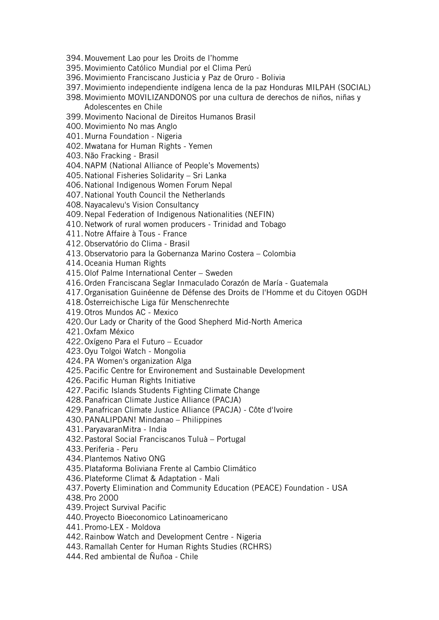- 394.Mouvement Lao pour les Droits de l'homme
- 395.Movimiento Católico Mundial por el Clima Perú
- 396.Movimiento Franciscano Justicia y Paz de Oruro Bolivia
- 397.Movimiento independiente indígena lenca de la paz Honduras MILPAH (SOCIAL)
- 398.Movimiento MOVILIZANDONOS por una cultura de derechos de niños, niñas y Adolescentes en Chile
- 399.Movimento Nacional de Direitos Humanos Brasil
- 400.Movimiento No mas Anglo
- 401.Murna Foundation Nigeria
- 402.Mwatana for Human Rights Yemen
- 403.Não Fracking Brasil
- 404.NAPM (National Alliance of People's Movements)
- 405.National Fisheries Solidarity Sri Lanka
- 406.National Indigenous Women Forum Nepal
- 407.National Youth Council the Netherlands
- 408.Nayacalevu's Vision Consultancy
- 409.Nepal Federation of Indigenous Nationalities (NEFIN)
- 410.Network of rural women producers Trinidad and Tobago
- 411.Notre Affaire à Tous France
- 412.Observatório do Clima Brasil
- 413.Observatorio para la Gobernanza Marino Costera Colombia
- 414.Oceania Human Rights
- 415.Olof Palme International Center Sweden
- 416.Orden Franciscana Seglar Inmaculado Corazón de María Guatemala
- 417.Organisation Guinéenne de Défense des Droits de l'Homme et du Citoyen OGDH
- 418.Österreichische Liga für Menschenrechte
- 419.Otros Mundos AC Mexico
- 420.Our Lady or Charity of the Good Shepherd Mid-North America
- 421.Oxfam México
- 422.Oxígeno Para el Futuro Ecuador
- 423.Oyu Tolgoi Watch Mongolia
- 424.PA Women's organization Alga
- 425.Pacific Centre for Environement and Sustainable Development
- 426.Pacific Human Rights Initiative
- 427.Pacific Islands Students Fighting Climate Change
- 428.Panafrican Climate Justice Alliance (PACJA)
- 429.Panafrican Climate Justice Alliance (PACJA) Côte d'Ivoire
- 430.PANALIPDAN! Mindanao Philippines
- 431.ParyavaranMitra India
- 432.Pastoral Social Franciscanos Tuluà Portugal
- 433.Periferia Peru
- 434.Plantemos Nativo ONG
- 435.Plataforma Boliviana Frente al Cambio Climático
- 436.Plateforme Climat & Adaptation Mali
- 437.Poverty Elimination and Community Education (PEACE) Foundation USA
- 438.Pro 2000
- 439.Project Survival Pacific
- 440.Proyecto Bioeconomico Latinoamericano
- 441.Promo-LEX Moldova
- 442.Rainbow Watch and Development Centre Nigeria
- 443.Ramallah Center for Human Rights Studies (RCHRS)
- 444.Red ambiental de Ñuñoa Chile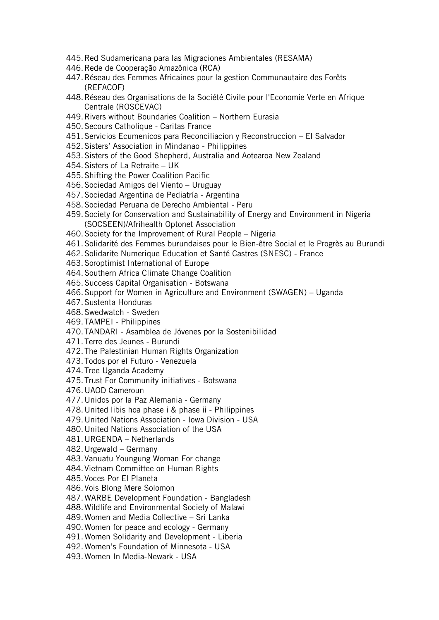- 445.Red Sudamericana para las Migraciones Ambientales (RESAMA)
- 446.Rede de Cooperação Amazônica (RCA)
- 447.Réseau des Femmes Africaines pour la gestion Communautaire des Forêts (REFACOF)
- 448.Réseau des Organisations de la Société Civile pour l'Economie Verte en Afrique Centrale (ROSCEVAC)
- 449.Rivers without Boundaries Coalition Northern Eurasia
- 450.Secours Catholique Caritas France
- 451.Servicios Ecumenicos para Reconciliacion y Reconstruccion El Salvador
- 452.Sisters' Association in Mindanao Philippines
- 453.Sisters of the Good Shepherd, Australia and Aotearoa New Zealand
- 454.Sisters of La Retraite UK
- 455.Shifting the Power Coalition Pacific
- 456.Sociedad Amigos del Viento Uruguay
- 457.Sociedad Argentina de Pediatría Argentina
- 458.Sociedad Peruana de Derecho Ambiental Peru
- 459.Society for Conservation and Sustainability of Energy and Environment in Nigeria (SOCSEEN)/Afrihealth Optonet Association
- 460.Society for the Improvement of Rural People Nigeria
- 461.Solidarité des Femmes burundaises pour le Bien-être Social et le Progrès au Burundi
- 462.Solidarite Numerique Education et Santé Castres (SNESC) France
- 463.Soroptimist International of Europe
- 464.Southern Africa Climate Change Coalition
- 465.Success Capital Organisation Botswana
- 466.Support for Women in Agriculture and Environment (SWAGEN) Uganda
- 467.Sustenta Honduras
- 468.Swedwatch Sweden
- 469.TAMPEI Philippines
- 470.TANDARI Asamblea de Jóvenes por la Sostenibilidad
- 471.Terre des Jeunes Burundi
- 472.The Palestinian Human Rights Organization
- 473.Todos por el Futuro Venezuela
- 474.Tree Uganda Academy
- 475.Trust For Community initiatives Botswana
- 476.UAOD Cameroun
- 477.Unidos por la Paz Alemania Germany
- 478.United libis hoa phase i & phase ii Philippines
- 479.United Nations Association Iowa Division USA
- 480.United Nations Association of the USA
- 481.URGENDA Netherlands
- 482.Urgewald Germany
- 483.Vanuatu Youngung Woman For change
- 484.Vietnam Committee on Human Rights
- 485.Voces Por El Planeta
- 486.Vois Blong Mere Solomon
- 487.WARBE Development Foundation Bangladesh
- 488.Wildlife and Environmental Society of Malawi
- 489.Women and Media Collective Sri Lanka
- 490.Women for peace and ecology Germany
- 491.Women Solidarity and Development Liberia
- 492.Women's Foundation of Minnesota USA
- 493.Women In Media-Newark USA